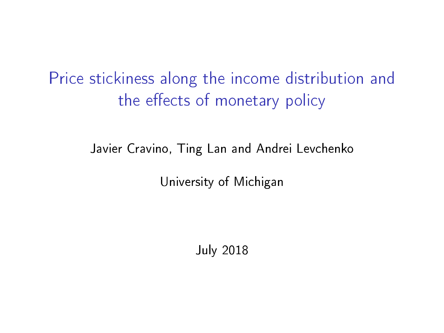Price stickiness along the income distribution and the effects of monetary policy

Javier Cravino, Ting Lan and Andrei Levchenko

University of Michigan

July 2018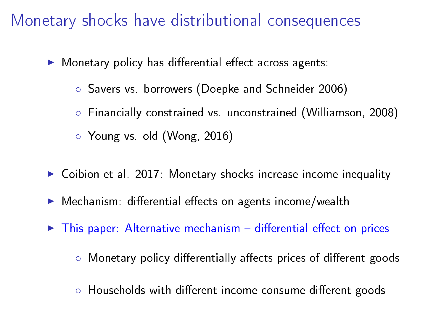Monetary shocks have distributional consequences

- $\blacktriangleright$  Monetary policy has differential effect across agents:
	- Savers vs. borrowers (Doepke and Schneider 2006)
	- Financially constrained vs. unconstrained (Williamson, 2008)
	- Young vs. old (Wong, 2016)
- $\triangleright$  Coibion et al. 2017: Monetary shocks increase income inequality
- $\blacktriangleright$  Mechanism: differential effects on agents income/wealth
- $\triangleright$  This paper: Alternative mechanism  $-$  differential effect on prices
	- Monetary policy differentially affects prices of different goods
	- Households with different income consume different goods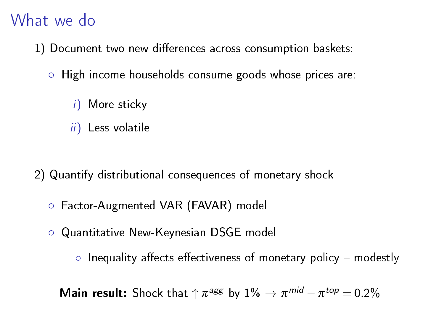#### What we do

- 1) Document two new differences across consumption baskets:
	- High income households consume goods whose prices are:
		- i) More sticky
		- ii) Less volatile
- 2) Quantify distributional consequences of monetary shock
	- Factor-Augmented VAR (FAVAR) model
	- Quantitative New-Keynesian DSGE model
		- $\circ$  Inequality affects effectiveness of monetary policy modestly

**Main result:** Shock that  $\uparrow \pi^\textit{agg}$  by  $1\% \rightarrow \pi^\textit{mid} - \pi^\textit{top} = 0.2\%$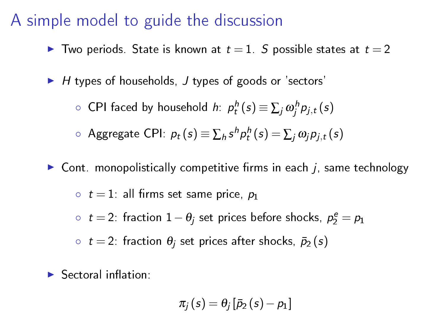# A simple model to guide the discussion

- $\blacktriangleright$  Two periods. State is known at  $t = 1$ . S possible states at  $t = 2$
- $\blacktriangleright$  H types of households, J types of goods or 'sectors'
	- $\circ$  CPI faced by household *h*:  $p_t^h(s) \equiv \sum_j \omega_j^h p_{j,t}(s)$

$$
\circ \ \ \text{Aggregate CPU: } p_t(s) \equiv \sum_h s^h p_t^h(s) = \sum_j \omega_j p_{j,t}(s)
$$

Cont. monopolistically competitive firms in each  $j$ , same technology

 $\circ$  t = 1: all firms set same price,  $p_1$ 

 $\circ$   $t = 2$ : fraction  $1 - \theta_j$  set prices before shocks,  $p_2^e = p_1$ 

 $\circ$   $t = 2$ : fraction  $\theta_i$  set prices after shocks,  $\bar{p}_2$  (s)

Sectoral inflation:

$$
\pi_j\left(s\right)=\theta_j\left[\bar{\rho}_2\left(s\right)-\rho_1\right]
$$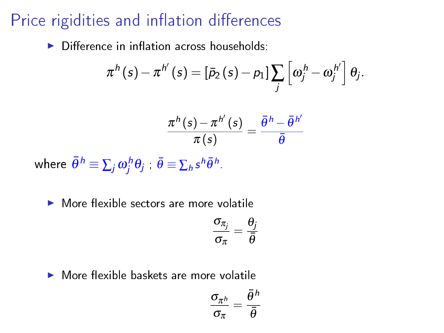# Price rigidities and inflation differences

 $\triangleright$  Difference in inflation across households:

$$
\pi^h\left(s\right)-\pi^{h'}\left(s\right)=\left[\bar{\rho}_2\left(s\right)-\rho_1\right]\sum_j\left[\omega_j^h-\omega_j^{h'}\right]\theta_j.
$$

$$
\frac{\pi^h(s)-\pi^{h'}(s)}{\pi(s)}=\frac{\bar{\theta}^h-\bar{\theta}^{h'}}{\bar{\theta}}
$$

where  $\bar{\theta}^h \equiv \sum_j \omega_j^h \theta_j$  ,  $\bar{\theta} \equiv \sum_h s^h \bar{\theta}^h$ .

 $\blacktriangleright$  More flexible sectors are more volatile

$$
\frac{\sigma_{\pi_j}}{\sigma_{\pi}} = \frac{\theta_j}{\bar{\theta}}
$$

 $\triangleright$  More flexible baskets are more volatile

$$
\frac{\sigma_{\pi^h}}{\sigma_{\pi}} = \frac{\bar{\theta}^h}{\bar{\theta}}
$$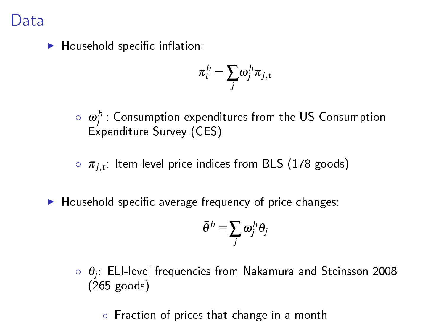# Data

 $\blacktriangleright$  Household specific inflation:

$$
\pi^h_t = \sum_j \omega^h_j \pi_{j,t}
$$

- $\circ \;\; \omega_j^h$  : Consumption expenditures from the US Consumption Expenditure Survey (CES)
- $\,\circ\,$   $\pi_{j,t}\,$  ltem-level price indices from BLS (178 goods)
- $\blacktriangleright$  Household specific average frequency of price changes:

$$
\bar{\theta}^h \equiv \sum_j \omega_j^h \theta_j
$$

- $\circ$   $\,\theta_{\!j}\,\,$  ELI-level frequencies from Nakamura and Steinsson 2008 (265 goods)
	- Fraction of prices that change in a month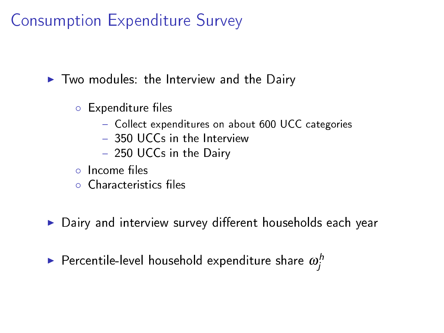# Consumption Expenditure Survey

 $\blacktriangleright$  Two modules: the Interview and the Dairy

- Expenditure files
	- Collect expenditures on about 600 UCC categories
	- 350 UCCs in the Interview
	- 250 UCCs in the Dairy
- o Income files
- Characteristics files
- $\triangleright$  Dairy and interview survey different households each year
- $\blacktriangleright$  Percentile-level household expenditure share  $\omega^\hbar_j$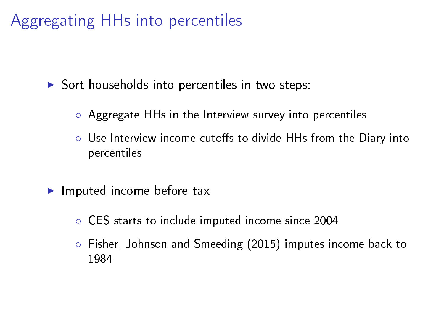# Aggregating HHs into percentiles

 $\triangleright$  Sort households into percentiles in two steps:

- Aggregate HHs in the Interview survey into percentiles
- Use Interview income cutoffs to divide HHs from the Diary into percentiles
- $\blacktriangleright$  Imputed income before tax
	- CES starts to include imputed income since 2004
	- Fisher, Johnson and Smeeding (2015) imputes income back to 1984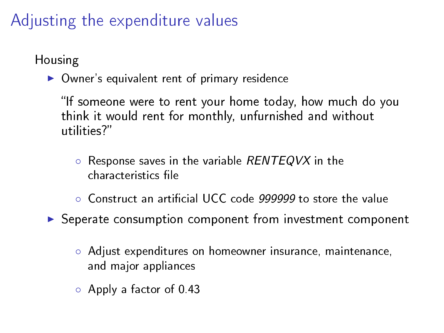# Adjusting the expenditure values

Housing

 $\triangleright$  Owner's equivalent rent of primary residence

"If someone were to rent your home today, how much do you think it would rent for monthly, unfurnished and without utilities?

- Response saves in the variable RENTEQVX in the characteristics file
- Construct an articial UCC code 999999 to store the value
- ▶ Seperate consumption component from investment component
	- Adjust expenditures on homeowner insurance, maintenance, and major appliances
	- Apply a factor of 0.43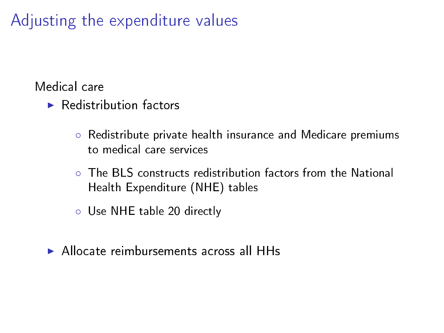# Adjusting the expenditure values

Medical care

- $\blacktriangleright$  Redistribution factors
	- Redistribute private health insurance and Medicare premiums to medical care services
	- The BLS constructs redistribution factors from the National Health Expenditure (NHE) tables
	- Use NHE table 20 directly
- $\triangleright$  Allocate reimbursements across all HHs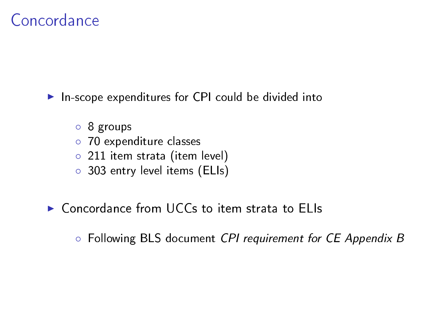### Concordance

 $\blacktriangleright$  In-scope expenditures for CPI could be divided into

- 8 groups
- 70 expenditure classes
- 211 item strata (item level)
- 303 entry level items (ELIs)
- $\triangleright$  Concordance from UCCs to item strata to ELIs

◦ Following BLS document CPI requirement for CE Appendix B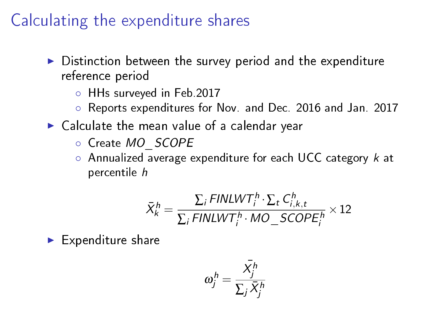# Calculating the expenditure shares

- $\triangleright$  Distinction between the survey period and the expenditure reference period
	- HHs surveyed in Feb.2017
	- Reports expenditures for Nov. and Dec. 2016 and Jan. 2017
- $\blacktriangleright$  Calculate the mean value of a calendar year
	- Create MO\_SCOPE
	- $\circ$  Annualized average expenditure for each UCC category  $k$  at percentile h

$$
\bar{X}_{k}^{h} = \frac{\sum_{i} \text{FINLWT}_{i}^{h} \cdot \sum_{t} C_{i,k,t}^{h}}{\sum_{i} \text{FINLWT}_{i}^{h} \cdot MO\_SCOPE_{i}^{h}} \times 12
$$

 $\blacktriangleright$  Expenditure share

$$
\omega_j^h = \frac{\bar{X}_j^h}{\sum_j \bar{X}_j^h}
$$